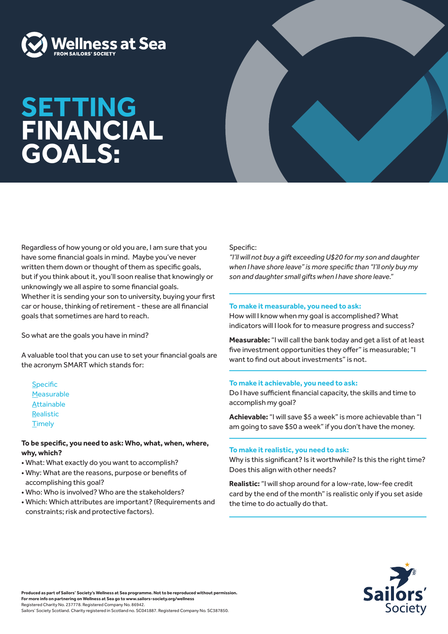

# **SETTING FINANCIAL GOALS:**



So what are the goals you have in mind?

A valuable tool that you can use to set your financial goals are the acronym SMART which stands for:

**Specific Measurable** Attainable Realistic **Timely** 

### **To be specific, you need to ask: Who, what, when, where, why, which?**

- What: What exactly do you want to accomplish?
- Why: What are the reasons, purpose or benefits of accomplishing this goal?
- Who: Who is involved? Who are the stakeholders?
- Which: Which attributes are important? (Requirements and constraints; risk and protective factors).

### Specific:

*"I'll will not buy a gift exceeding U\$20 for my son and daughter when I have shore leave" is more specific than "I'll only buy my son and daughter small gifts when I have shore leave."*

#### **To make it measurable, you need to ask:**

How will I know when my goal is accomplished? What indicators will I look for to measure progress and success?

**Measurable:** "I will call the bank today and get a list of at least five investment opportunities they offer" is measurable; "I want to find out about investments" is not.

### **To make it achievable, you need to ask:**

Do I have sufficient financial capacity, the skills and time to accomplish my goal?

**Achievable:** "I will save \$5 a week" is more achievable than "I am going to save \$50 a week" if you don't have the money.

### **To make it realistic, you need to ask:**

Why is this significant? Is it worthwhile? Is this the right time? Does this align with other needs?

**Realistic:** "I will shop around for a low-rate, low-fee credit card by the end of the month" is realistic only if you set aside the time to do actually do that.